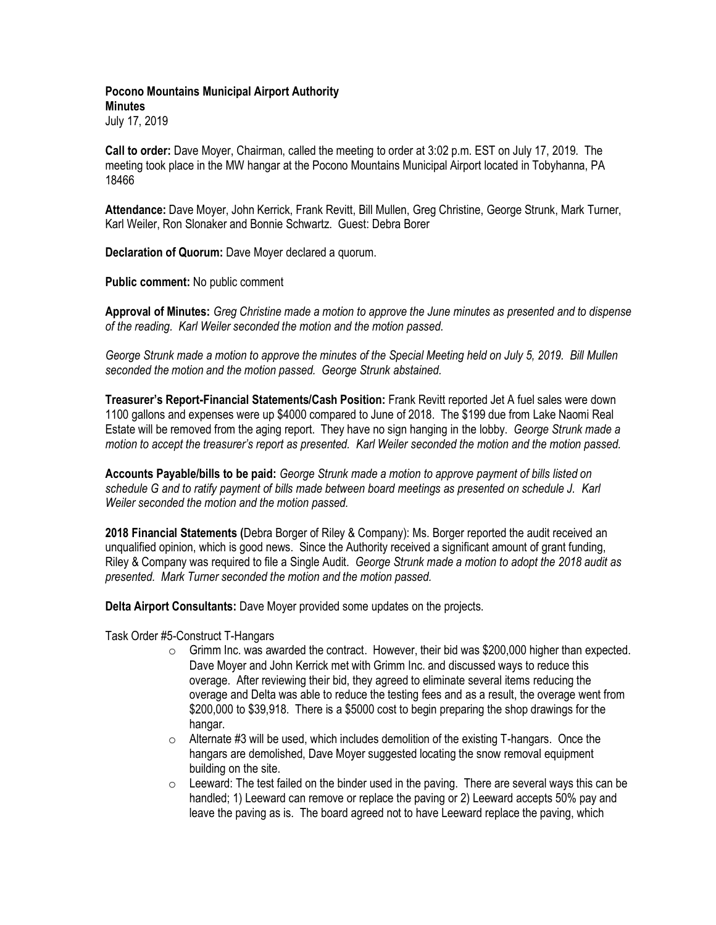# **Pocono Mountains Municipal Airport Authority Minutes**

July 17, 2019

**Call to order:** Dave Moyer, Chairman, called the meeting to order at 3:02 p.m. EST on July 17, 2019. The meeting took place in the MW hangar at the Pocono Mountains Municipal Airport located in Tobyhanna, PA 18466

**Attendance:** Dave Moyer, John Kerrick, Frank Revitt, Bill Mullen, Greg Christine, George Strunk, Mark Turner, Karl Weiler, Ron Slonaker and Bonnie Schwartz. Guest: Debra Borer

**Declaration of Quorum:** Dave Moyer declared a quorum.

**Public comment:** No public comment

**Approval of Minutes:** *Greg Christine made a motion to approve the June minutes as presented and to dispense of the reading. Karl Weiler seconded the motion and the motion passed.*

*George Strunk made a motion to approve the minutes of the Special Meeting held on July 5, 2019. Bill Mullen seconded the motion and the motion passed. George Strunk abstained.*

**Treasurer's Report-Financial Statements/Cash Position:** Frank Revitt reported Jet A fuel sales were down 1100 gallons and expenses were up \$4000 compared to June of 2018. The \$199 due from Lake Naomi Real Estate will be removed from the aging report. They have no sign hanging in the lobby. *George Strunk made a*  motion to accept the treasurer's report as presented. Karl Weiler seconded the motion and the motion passed.

**Accounts Payable/bills to be paid:** *George Strunk made a motion to approve payment of bills listed on schedule G and to ratify payment of bills made between board meetings as presented on schedule J. Karl Weiler seconded the motion and the motion passed.*

**2018 Financial Statements (**Debra Borger of Riley & Company): Ms. Borger reported the audit received an unqualified opinion, which is good news. Since the Authority received a significant amount of grant funding, Riley & Company was required to file a Single Audit. *George Strunk made a motion to adopt the 2018 audit as presented. Mark Turner seconded the motion and the motion passed.*

**Delta Airport Consultants:** Dave Moyer provided some updates on the projects.

Task Order #5-Construct T-Hangars

- $\circ$  Grimm Inc. was awarded the contract. However, their bid was \$200,000 higher than expected. Dave Moyer and John Kerrick met with Grimm Inc. and discussed ways to reduce this overage. After reviewing their bid, they agreed to eliminate several items reducing the overage and Delta was able to reduce the testing fees and as a result, the overage went from \$200,000 to \$39,918. There is a \$5000 cost to begin preparing the shop drawings for the hangar.
- $\circ$  Alternate #3 will be used, which includes demolition of the existing T-hangars. Once the hangars are demolished, Dave Moyer suggested locating the snow removal equipment building on the site.
- $\circ$  Leeward: The test failed on the binder used in the paving. There are several ways this can be handled; 1) Leeward can remove or replace the paving or 2) Leeward accepts 50% pay and leave the paving as is. The board agreed not to have Leeward replace the paving, which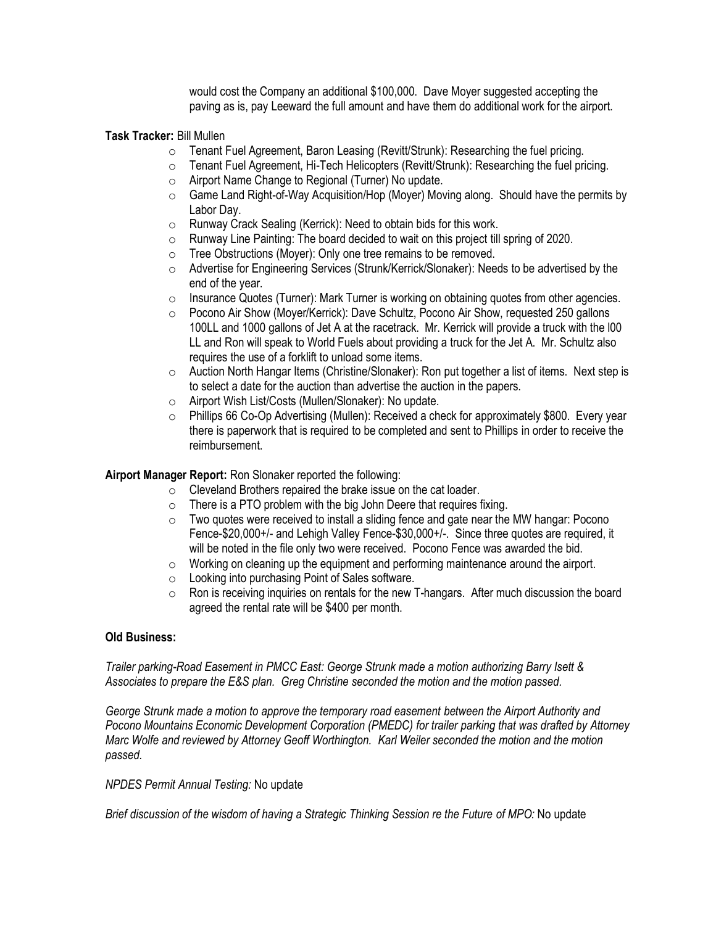would cost the Company an additional \$100,000. Dave Moyer suggested accepting the paving as is, pay Leeward the full amount and have them do additional work for the airport.

### **Task Tracker:** Bill Mullen

- $\circ$  Tenant Fuel Agreement, Baron Leasing (Revitt/Strunk): Researching the fuel pricing.
- o Tenant Fuel Agreement, Hi-Tech Helicopters (Revitt/Strunk): Researching the fuel pricing.
- o Airport Name Change to Regional (Turner) No update.
- $\circ$  Game Land Right-of-Way Acquisition/Hop (Moyer) Moving along. Should have the permits by Labor Day.
- o Runway Crack Sealing (Kerrick): Need to obtain bids for this work.
- o Runway Line Painting: The board decided to wait on this project till spring of 2020.
- o Tree Obstructions (Moyer): Only one tree remains to be removed.
- o Advertise for Engineering Services (Strunk/Kerrick/Slonaker): Needs to be advertised by the end of the year.
- $\circ$  Insurance Quotes (Turner): Mark Turner is working on obtaining quotes from other agencies.
- $\circ$  Pocono Air Show (Moyer/Kerrick): Dave Schultz, Pocono Air Show, requested 250 gallons 100LL and 1000 gallons of Jet A at the racetrack. Mr. Kerrick will provide a truck with the l00 LL and Ron will speak to World Fuels about providing a truck for the Jet A. Mr. Schultz also requires the use of a forklift to unload some items.
- $\circ$  Auction North Hangar Items (Christine/Slonaker): Ron put together a list of items. Next step is to select a date for the auction than advertise the auction in the papers.
- o Airport Wish List/Costs (Mullen/Slonaker): No update.
- $\circ$  Phillips 66 Co-Op Advertising (Mullen): Received a check for approximately \$800. Every year there is paperwork that is required to be completed and sent to Phillips in order to receive the reimbursement.

#### **Airport Manager Report:** Ron Slonaker reported the following:

- o Cleveland Brothers repaired the brake issue on the cat loader.
- $\circ$  There is a PTO problem with the big John Deere that requires fixing.
- $\circ$  Two quotes were received to install a sliding fence and gate near the MW hangar: Pocono Fence-\$20,000+/- and Lehigh Valley Fence-\$30,000+/-. Since three quotes are required, it will be noted in the file only two were received. Pocono Fence was awarded the bid.
- $\circ$  Working on cleaning up the equipment and performing maintenance around the airport.
- o Looking into purchasing Point of Sales software.
- $\circ$  Ron is receiving inquiries on rentals for the new T-hangars. After much discussion the board agreed the rental rate will be \$400 per month.

#### **Old Business:**

*Trailer parking-Road Easement in PMCC East: George Strunk made a motion authorizing Barry Isett & Associates to prepare the E&S plan. Greg Christine seconded the motion and the motion passed.*

*George Strunk made a motion to approve the temporary road easement between the Airport Authority and Pocono Mountains Economic Development Corporation (PMEDC) for trailer parking that was drafted by Attorney Marc Wolfe and reviewed by Attorney Geoff Worthington. Karl Weiler seconded the motion and the motion passed.*

#### *NPDES Permit Annual Testing:* No update

*Brief discussion of the wisdom of having a Strategic Thinking Session re the Future of MPO:* No update